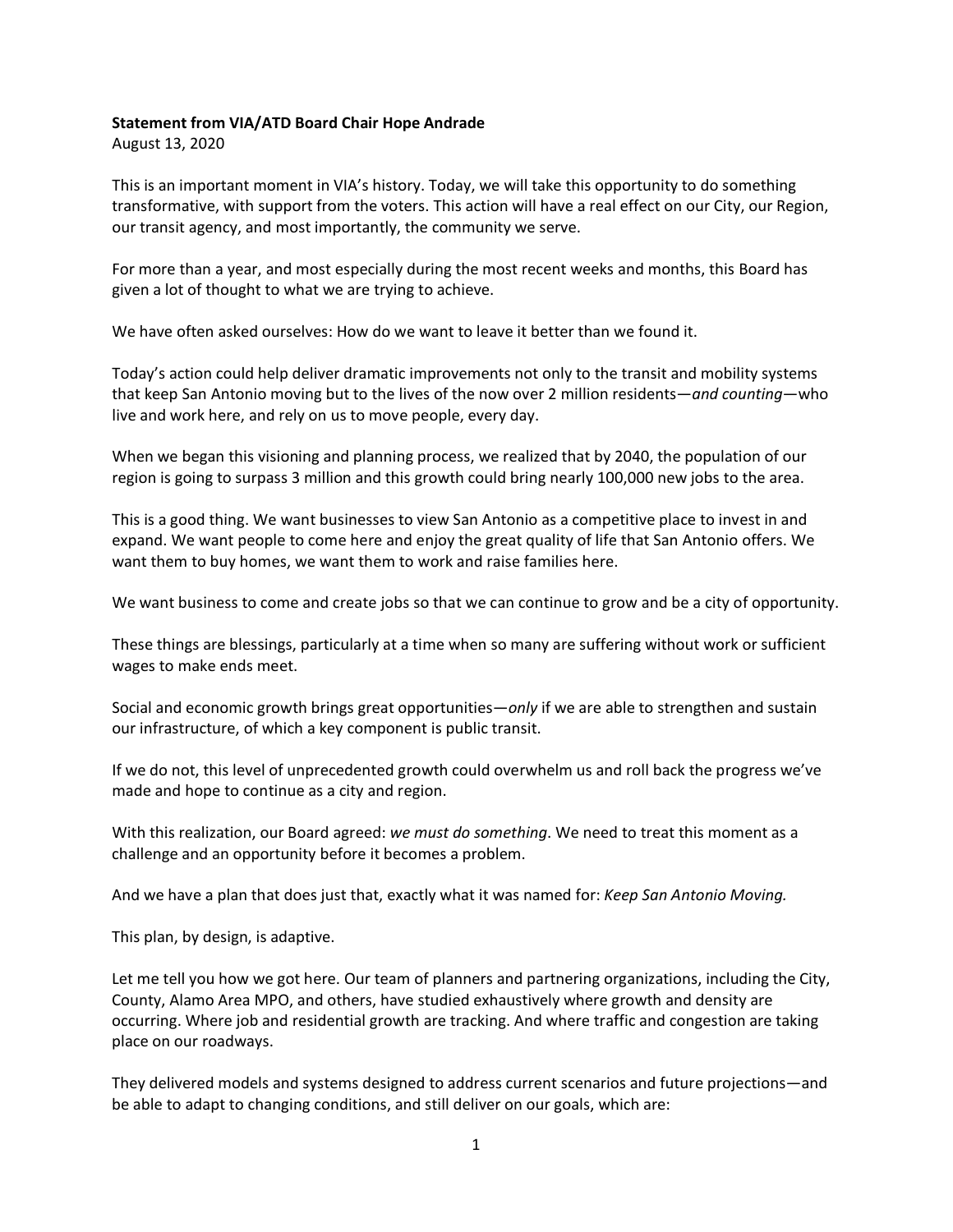## **Statement from VIA/ATD Board Chair Hope Andrade**

August 13, 2020

This is an important moment in VIA's history. Today, we will take this opportunity to do something transformative, with support from the voters. This action will have a real effect on our City, our Region, our transit agency, and most importantly, the community we serve.

For more than a year, and most especially during the most recent weeks and months, this Board has given a lot of thought to what we are trying to achieve.

We have often asked ourselves: How do we want to leave it better than we found it.

Today's action could help deliver dramatic improvements not only to the transit and mobility systems that keep San Antonio moving but to the lives of the now over 2 million residents—*and counting*—who live and work here, and rely on us to move people, every day.

When we began this visioning and planning process, we realized that by 2040, the population of our region is going to surpass 3 million and this growth could bring nearly 100,000 new jobs to the area.

This is a good thing. We want businesses to view San Antonio as a competitive place to invest in and expand. We want people to come here and enjoy the great quality of life that San Antonio offers. We want them to buy homes, we want them to work and raise families here.

We want business to come and create jobs so that we can continue to grow and be a city of opportunity.

These things are blessings, particularly at a time when so many are suffering without work or sufficient wages to make ends meet.

Social and economic growth brings great opportunities—*only* if we are able to strengthen and sustain our infrastructure, of which a key component is public transit.

If we do not, this level of unprecedented growth could overwhelm us and roll back the progress we've made and hope to continue as a city and region.

With this realization, our Board agreed: *we must do something*. We need to treat this moment as a challenge and an opportunity before it becomes a problem.

And we have a plan that does just that, exactly what it was named for: *Keep San Antonio Moving.* 

This plan, by design, is adaptive.

Let me tell you how we got here. Our team of planners and partnering organizations, including the City, County, Alamo Area MPO, and others, have studied exhaustively where growth and density are occurring. Where job and residential growth are tracking. And where traffic and congestion are taking place on our roadways.

They delivered models and systems designed to address current scenarios and future projections—and be able to adapt to changing conditions, and still deliver on our goals, which are: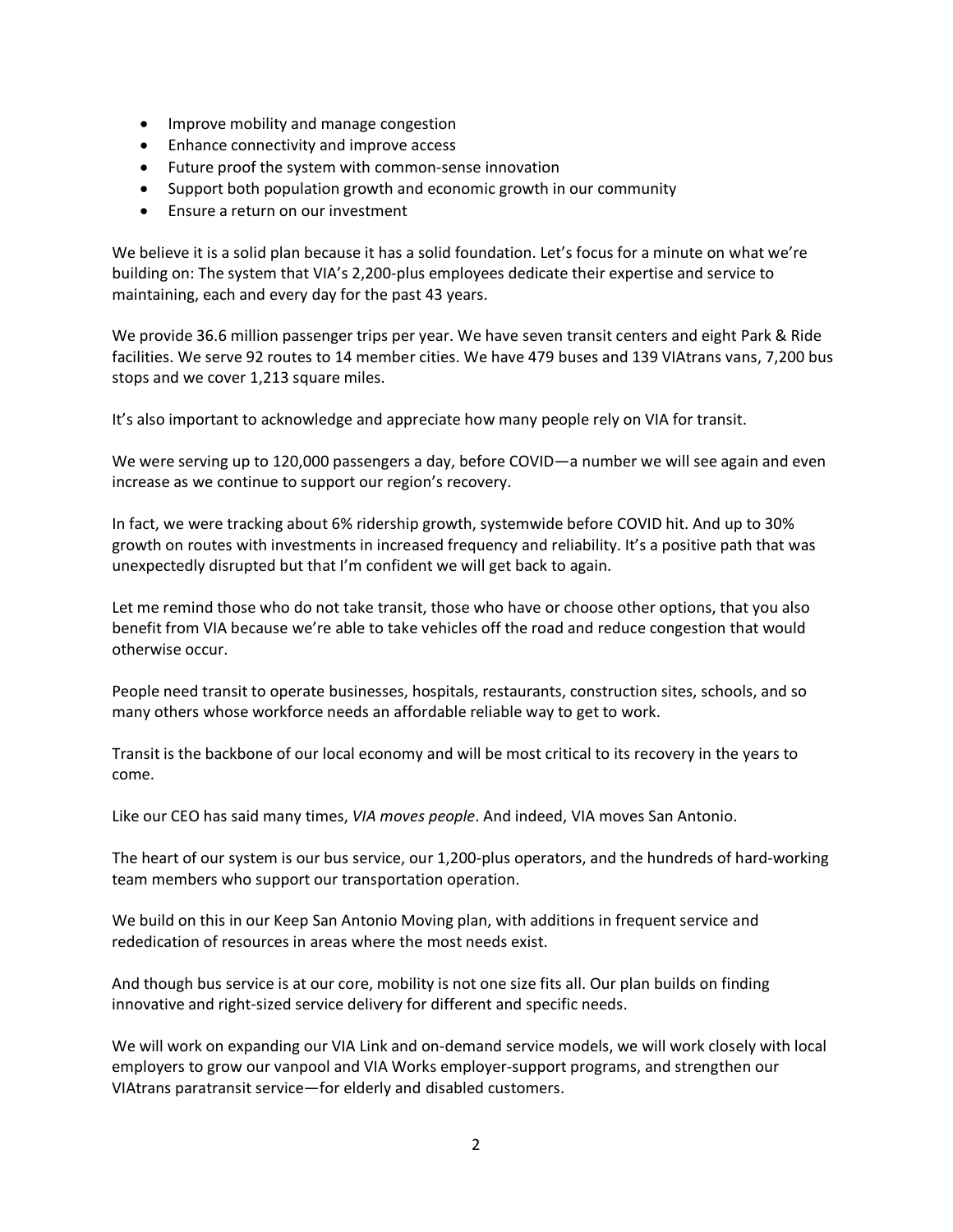- Improve mobility and manage congestion
- Enhance connectivity and improve access
- Future proof the system with common-sense innovation
- Support both population growth and economic growth in our community
- Ensure a return on our investment

We believe it is a solid plan because it has a solid foundation. Let's focus for a minute on what we're building on: The system that VIA's 2,200-plus employees dedicate their expertise and service to maintaining, each and every day for the past 43 years.

We provide 36.6 million passenger trips per year. We have seven transit centers and eight Park & Ride facilities. We serve 92 routes to 14 member cities. We have 479 buses and 139 VIAtrans vans, 7,200 bus stops and we cover 1,213 square miles.

It's also important to acknowledge and appreciate how many people rely on VIA for transit.

We were serving up to 120,000 passengers a day, before COVID—a number we will see again and even increase as we continue to support our region's recovery.

In fact, we were tracking about 6% ridership growth, systemwide before COVID hit. And up to 30% growth on routes with investments in increased frequency and reliability. It's a positive path that was unexpectedly disrupted but that I'm confident we will get back to again.

Let me remind those who do not take transit, those who have or choose other options, that you also benefit from VIA because we're able to take vehicles off the road and reduce congestion that would otherwise occur.

People need transit to operate businesses, hospitals, restaurants, construction sites, schools, and so many others whose workforce needs an affordable reliable way to get to work.

Transit is the backbone of our local economy and will be most critical to its recovery in the years to come.

Like our CEO has said many times, *VIA moves people*. And indeed, VIA moves San Antonio.

The heart of our system is our bus service, our 1,200-plus operators, and the hundreds of hard-working team members who support our transportation operation.

We build on this in our Keep San Antonio Moving plan, with additions in frequent service and rededication of resources in areas where the most needs exist.

And though bus service is at our core, mobility is not one size fits all. Our plan builds on finding innovative and right-sized service delivery for different and specific needs.

We will work on expanding our VIA Link and on-demand service models, we will work closely with local employers to grow our vanpool and VIA Works employer-support programs, and strengthen our VIAtrans paratransit service—for elderly and disabled customers.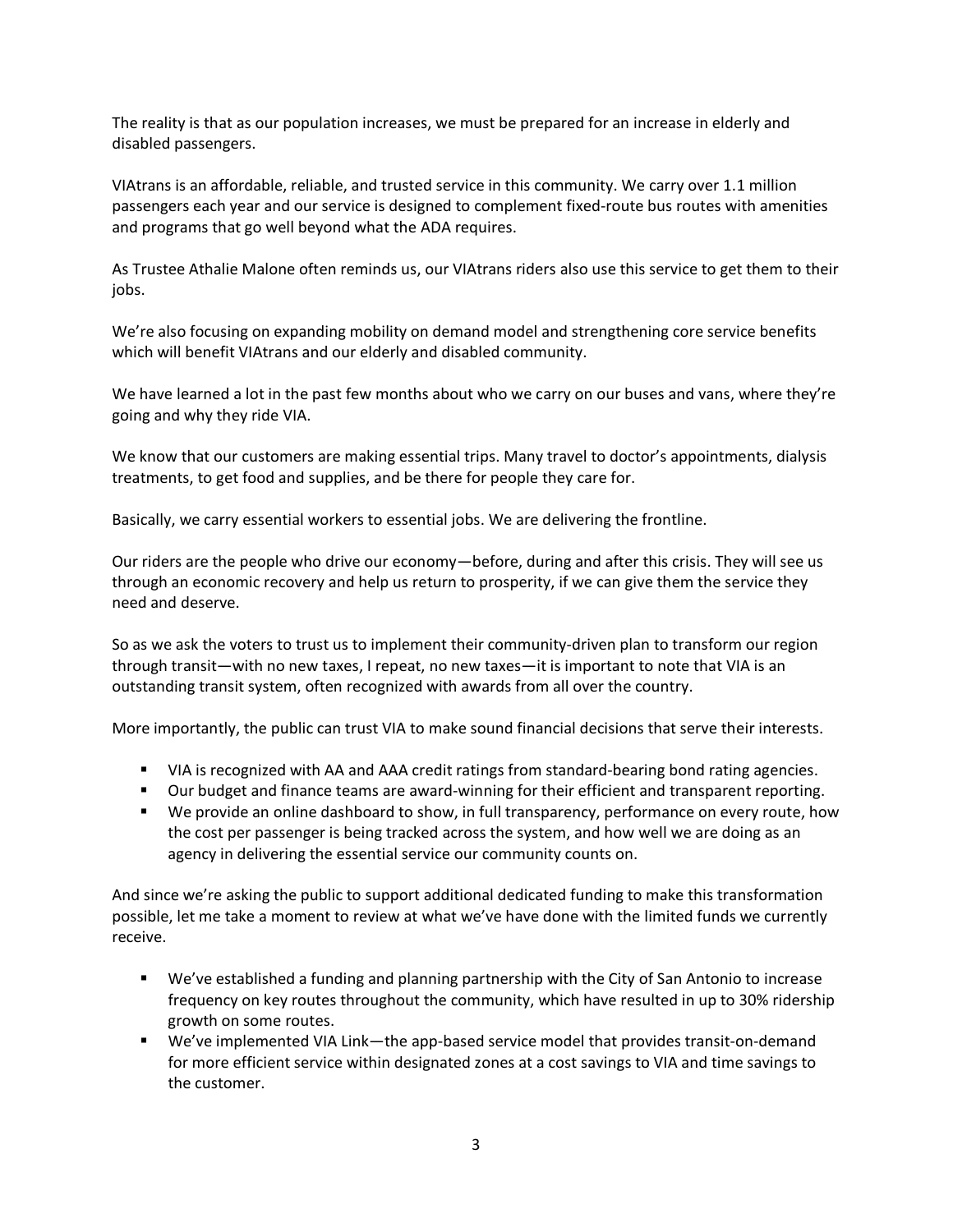The reality is that as our population increases, we must be prepared for an increase in elderly and disabled passengers.

VIAtrans is an affordable, reliable, and trusted service in this community. We carry over 1.1 million passengers each year and our service is designed to complement fixed-route bus routes with amenities and programs that go well beyond what the ADA requires.

As Trustee Athalie Malone often reminds us, our VIAtrans riders also use this service to get them to their jobs.

We're also focusing on expanding mobility on demand model and strengthening core service benefits which will benefit VIAtrans and our elderly and disabled community.

We have learned a lot in the past few months about who we carry on our buses and vans, where they're going and why they ride VIA.

We know that our customers are making essential trips. Many travel to doctor's appointments, dialysis treatments, to get food and supplies, and be there for people they care for.

Basically, we carry essential workers to essential jobs. We are delivering the frontline.

Our riders are the people who drive our economy—before, during and after this crisis. They will see us through an economic recovery and help us return to prosperity, if we can give them the service they need and deserve.

So as we ask the voters to trust us to implement their community-driven plan to transform our region through transit—with no new taxes, I repeat, no new taxes—it is important to note that VIA is an outstanding transit system, often recognized with awards from all over the country.

More importantly, the public can trust VIA to make sound financial decisions that serve their interests.

- VIA is recognized with AA and AAA credit ratings from standard-bearing bond rating agencies.
- **Dur budget and finance teams are award-winning for their efficient and transparent reporting.**
- We provide an online dashboard to show, in full transparency, performance on every route, how the cost per passenger is being tracked across the system, and how well we are doing as an agency in delivering the essential service our community counts on.

And since we're asking the public to support additional dedicated funding to make this transformation possible, let me take a moment to review at what we've have done with the limited funds we currently receive.

- We've established a funding and planning partnership with the City of San Antonio to increase frequency on key routes throughout the community, which have resulted in up to 30% ridership growth on some routes.
- We've implemented VIA Link—the app-based service model that provides transit-on-demand for more efficient service within designated zones at a cost savings to VIA and time savings to the customer.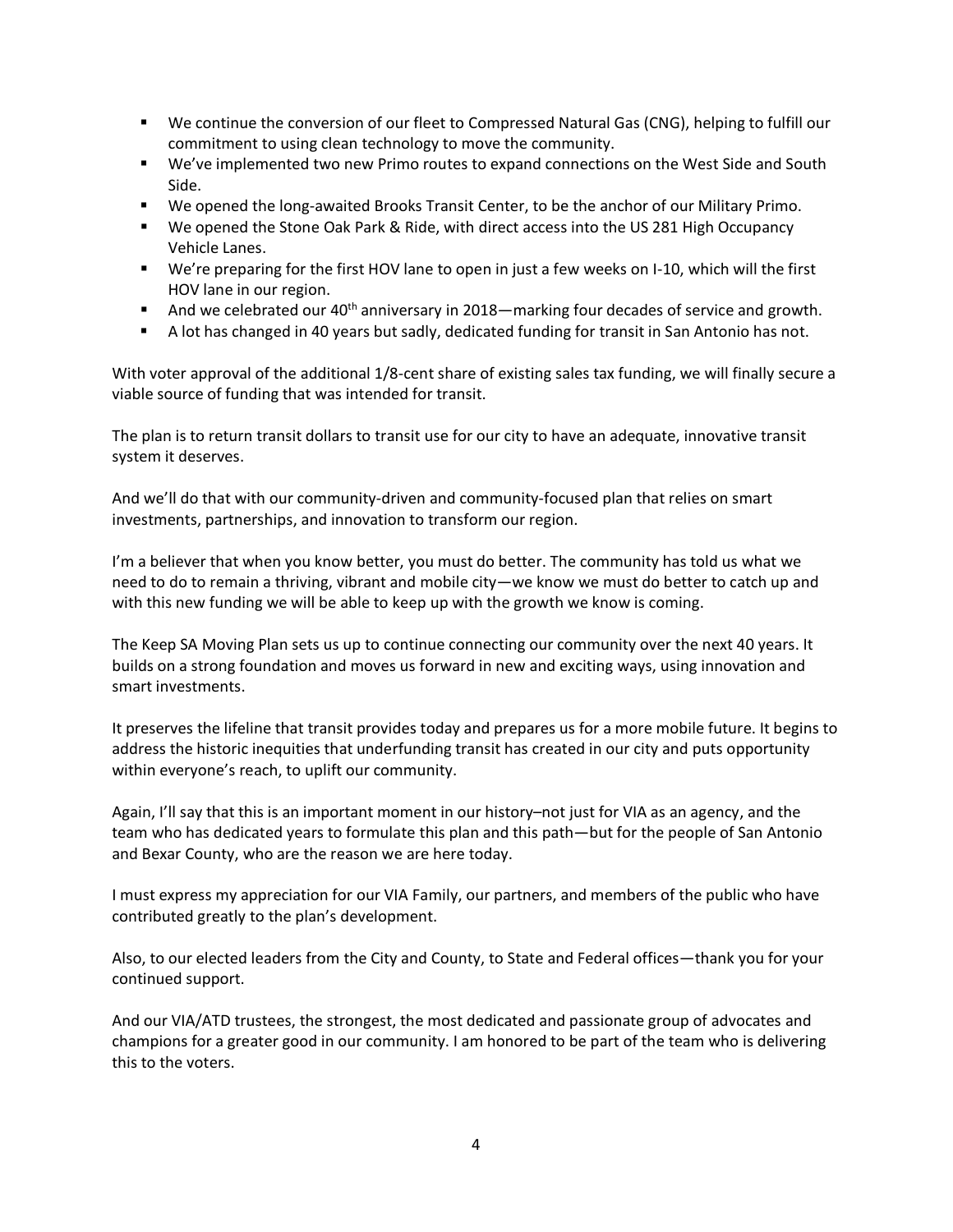- We continue the conversion of our fleet to Compressed Natural Gas (CNG), helping to fulfill our commitment to using clean technology to move the community.
- We've implemented two new Primo routes to expand connections on the West Side and South Side.
- We opened the long-awaited Brooks Transit Center, to be the anchor of our Military Primo.
- We opened the Stone Oak Park & Ride, with direct access into the US 281 High Occupancy Vehicle Lanes.
- We're preparing for the first HOV lane to open in just a few weeks on I-10, which will the first HOV lane in our region.
- And we celebrated our  $40^{th}$  anniversary in 2018—marking four decades of service and growth.
- A lot has changed in 40 years but sadly, dedicated funding for transit in San Antonio has not.

With voter approval of the additional 1/8-cent share of existing sales tax funding, we will finally secure a viable source of funding that was intended for transit.

The plan is to return transit dollars to transit use for our city to have an adequate, innovative transit system it deserves.

And we'll do that with our community-driven and community-focused plan that relies on smart investments, partnerships, and innovation to transform our region.

I'm a believer that when you know better, you must do better. The community has told us what we need to do to remain a thriving, vibrant and mobile city—we know we must do better to catch up and with this new funding we will be able to keep up with the growth we know is coming.

The Keep SA Moving Plan sets us up to continue connecting our community over the next 40 years. It builds on a strong foundation and moves us forward in new and exciting ways, using innovation and smart investments.

It preserves the lifeline that transit provides today and prepares us for a more mobile future. It begins to address the historic inequities that underfunding transit has created in our city and puts opportunity within everyone's reach, to uplift our community.

Again, I'll say that this is an important moment in our history–not just for VIA as an agency, and the team who has dedicated years to formulate this plan and this path—but for the people of San Antonio and Bexar County, who are the reason we are here today.

I must express my appreciation for our VIA Family, our partners, and members of the public who have contributed greatly to the plan's development.

Also, to our elected leaders from the City and County, to State and Federal offices—thank you for your continued support.

And our VIA/ATD trustees, the strongest, the most dedicated and passionate group of advocates and champions for a greater good in our community. I am honored to be part of the team who is delivering this to the voters.